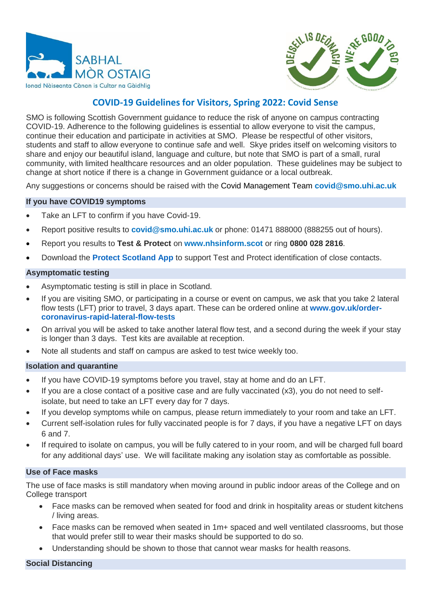



# **COVID-19 Guidelines for Visitors, Spring 2022: Covid Sense**

SMO is following Scottish Government guidance to reduce the risk of anyone on campus contracting COVID-19. Adherence to the following guidelines is essential to allow everyone to visit the campus, continue their education and participate in activities at SMO. Please be respectful of other visitors, students and staff to allow everyone to continue safe and well. Skye prides itself on welcoming visitors to share and enjoy our beautiful island, language and culture, but note that SMO is part of a small, rural community, with limited healthcare resources and an older population. These guidelines may be subject to change at short notice if there is a change in Government guidance or a local outbreak.

Any suggestions or concerns should be raised with the Covid Management Team **[covid@smo.uhi.ac.uk](mailto:covid@smo.uhi.ac.uk)**

## **If you have COVID19 symptoms**

- Take an LFT to confirm if you have Covid-19.
- Report positive results to **covid@smo.uhi.ac.uk** or phone: 01471 888000 (888255 out of hours).
- Report you results to **Test & Protect** on **[www.nhsinform.scot](http://www.nhsinform.scot/)** or ring **0800 028 2816**.
- Download the **[Protect Scotland App](https://protect.scot/)** to support Test and Protect identification of close contacts.

#### **Asymptomatic testing**

- Asymptomatic testing is still in place in Scotland.
- If you are visiting SMO, or participating in a course or event on campus, we ask that you take 2 lateral flow tests (LFT) prior to travel, 3 days apart. These can be ordered online at **[www.gov.uk/order](https://www.gov.uk/order-coronavirus-rapid-lateral-flow-tests)[coronavirus-rapid-lateral-flow-tests](https://www.gov.uk/order-coronavirus-rapid-lateral-flow-tests)**
- On arrival you will be asked to take another lateral flow test, and a second during the week if your stay is longer than 3 days. Test kits are available at reception.
- Note all students and staff on campus are asked to test twice weekly too.

#### **Isolation and quarantine**

- If you have COVID-19 symptoms before you travel, stay at home and do an LFT.
- If you are a close contact of a positive case and are fully vaccinated (x3), you do not need to selfisolate, but need to take an LFT every day for 7 days.
- If you develop symptoms while on campus, please return immediately to your room and take an LFT.
- Current self-isolation rules for fully vaccinated people is for 7 days, if you have a negative LFT on days 6 and 7.
- If required to isolate on campus, you will be fully catered to in your room, and will be charged full board for any additional days' use. We will facilitate making any isolation stay as comfortable as possible.

#### **Use of Face masks**

The use of face masks is still mandatory when moving around in public indoor areas of the College and on College transport

- Face masks can be removed when seated for food and drink in hospitality areas or student kitchens / living areas.
- Face masks can be removed when seated in 1m+ spaced and well ventilated classrooms, but those that would prefer still to wear their masks should be supported to do so.
- Understanding should be shown to those that cannot wear masks for health reasons.

**Social Distancing**